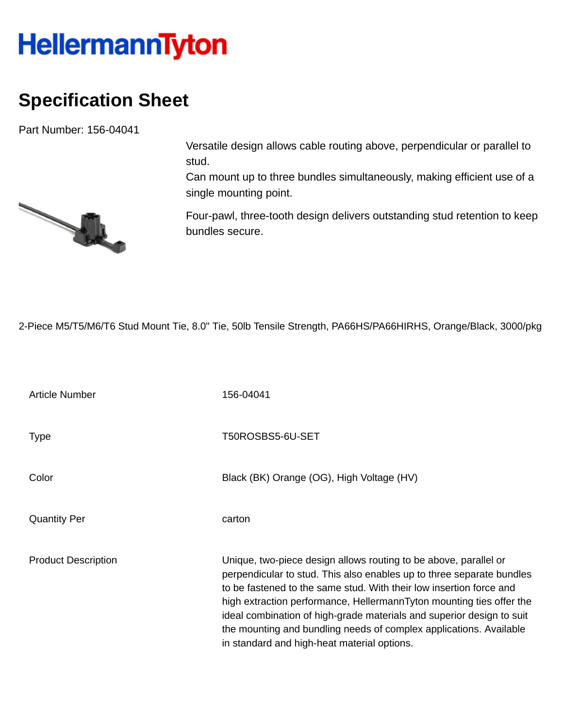## **HellermannTyton**

## **Specification Sheet**

Part Number: 156-04041



Versatile design allows cable routing above, perpendicular or parallel to stud.

Can mount up to three bundles simultaneously, making efficient use of a single mounting point.

Four-pawl, three-tooth design delivers outstanding stud retention to keep bundles secure.

2-Piece M5/T5/M6/T6 Stud Mount Tie, 8.0" Tie, 50lb Tensile Strength, PA66HS/PA66HIRHS, Orange/Black, 3000/pkg

| <b>Article Number</b>      | 156-04041                                                                                                                                                                                                                                                                                                                                                                                                                                                                              |
|----------------------------|----------------------------------------------------------------------------------------------------------------------------------------------------------------------------------------------------------------------------------------------------------------------------------------------------------------------------------------------------------------------------------------------------------------------------------------------------------------------------------------|
| Type                       | T50ROSBS5-6U-SET                                                                                                                                                                                                                                                                                                                                                                                                                                                                       |
| Color                      | Black (BK) Orange (OG), High Voltage (HV)                                                                                                                                                                                                                                                                                                                                                                                                                                              |
| <b>Quantity Per</b>        | carton                                                                                                                                                                                                                                                                                                                                                                                                                                                                                 |
| <b>Product Description</b> | Unique, two-piece design allows routing to be above, parallel or<br>perpendicular to stud. This also enables up to three separate bundles<br>to be fastened to the same stud. With their low insertion force and<br>high extraction performance, HellermannTyton mounting ties offer the<br>ideal combination of high-grade materials and superior design to suit<br>the mounting and bundling needs of complex applications. Available<br>in standard and high-heat material options. |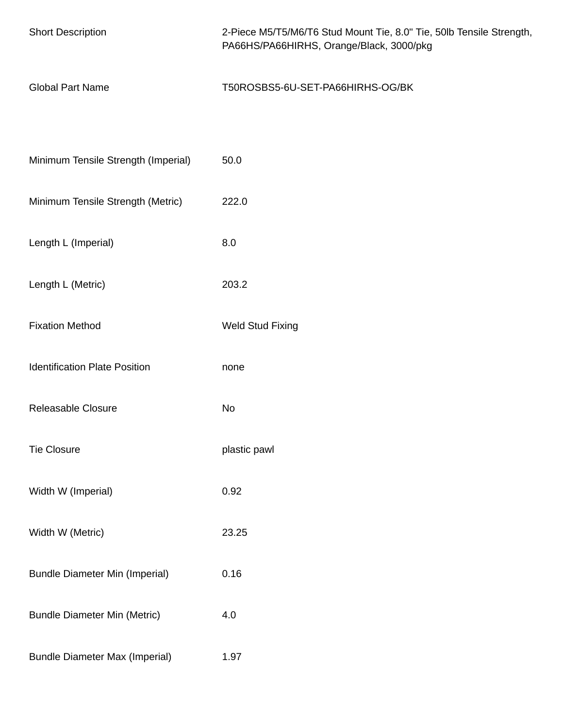| <b>Short Description</b>              | 2-Piece M5/T5/M6/T6 Stud Mount Tie, 8.0" Tie, 50lb Tensile Strength,<br>PA66HS/PA66HIRHS, Orange/Black, 3000/pkg |
|---------------------------------------|------------------------------------------------------------------------------------------------------------------|
| <b>Global Part Name</b>               | T50ROSBS5-6U-SET-PA66HIRHS-OG/BK                                                                                 |
|                                       |                                                                                                                  |
| Minimum Tensile Strength (Imperial)   | 50.0                                                                                                             |
| Minimum Tensile Strength (Metric)     | 222.0                                                                                                            |
| Length L (Imperial)                   | 8.0                                                                                                              |
| Length L (Metric)                     | 203.2                                                                                                            |
| <b>Fixation Method</b>                | <b>Weld Stud Fixing</b>                                                                                          |
| <b>Identification Plate Position</b>  | none                                                                                                             |
| Releasable Closure                    | No                                                                                                               |
| <b>Tie Closure</b>                    | plastic pawl                                                                                                     |
| Width W (Imperial)                    | 0.92                                                                                                             |
| Width W (Metric)                      | 23.25                                                                                                            |
| <b>Bundle Diameter Min (Imperial)</b> | 0.16                                                                                                             |
| <b>Bundle Diameter Min (Metric)</b>   | 4.0                                                                                                              |
| <b>Bundle Diameter Max (Imperial)</b> | 1.97                                                                                                             |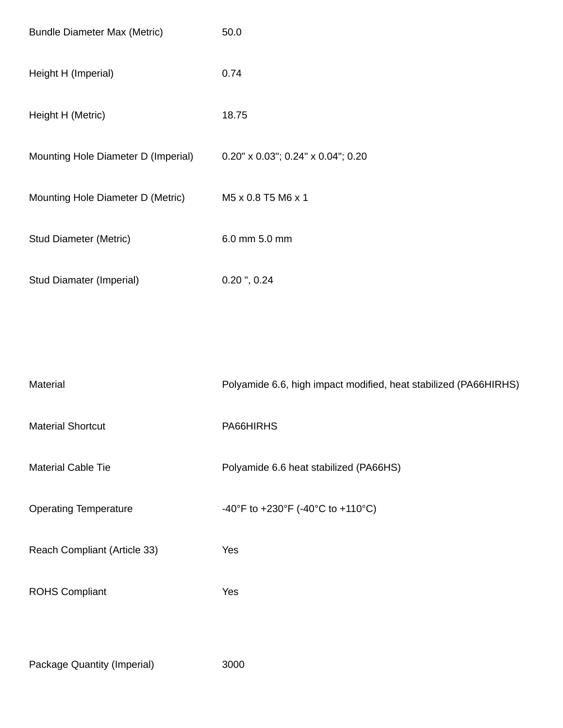| <b>Bundle Diameter Max (Metric)</b> | 50.0                                       |
|-------------------------------------|--------------------------------------------|
| Height H (Imperial)                 | 0.74                                       |
| Height H (Metric)                   | 18.75                                      |
| Mounting Hole Diameter D (Imperial) | $0.20" \times 0.03"$ ; 0.24" x 0.04"; 0.20 |
| Mounting Hole Diameter D (Metric)   | M5 x 0.8 T5 M6 x 1                         |
| <b>Stud Diameter (Metric)</b>       | 6.0 mm 5.0 mm                              |
| Stud Diamater (Imperial)            | $0.20$ ", $0.24$                           |

| Material                     | Polyamide 6.6, high impact modified, heat stabilized (PA66HIRHS) |
|------------------------------|------------------------------------------------------------------|
| <b>Material Shortcut</b>     | PA66HIRHS                                                        |
| <b>Material Cable Tie</b>    | Polyamide 6.6 heat stabilized (PA66HS)                           |
| <b>Operating Temperature</b> | -40°F to +230°F (-40°C to +110°C)                                |
| Reach Compliant (Article 33) | Yes                                                              |
| <b>ROHS Compliant</b>        | Yes                                                              |
|                              |                                                                  |

Package Quantity (Imperial) 3000